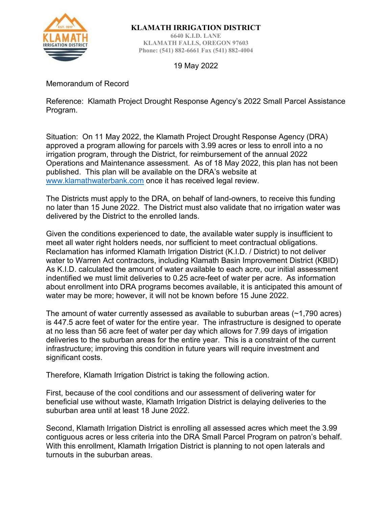

**KLAMATH IRRIGATION DISTRICT**

**6640 K.I.D. LANE KLAMATH FALLS, OREGON 97603 Phone: (541) 882-6661 Fax (541) 882-4004**

19 May 2022

Memorandum of Record

Reference: Klamath Project Drought Response Agency's 2022 Small Parcel Assistance Program.

Situation: On 11 May 2022, the Klamath Project Drought Response Agency (DRA) approved a program allowing for parcels with 3.99 acres or less to enroll into a no irrigation program, through the District, for reimbursement of the annual 2022 Operations and Maintenance assessment. As of 18 May 2022, this plan has not been published. This plan will be available on the DRA's website at [www.klamathwaterbank.com](http://www.klamathwaterbank.com/) once it has received legal review.

The Districts must apply to the DRA, on behalf of land-owners, to receive this funding no later than 15 June 2022. The District must also validate that no irrigation water was delivered by the District to the enrolled lands.

Given the conditions experienced to date, the available water supply is insufficient to meet all water right holders needs, nor sufficient to meet contractual obligations. Reclamation has informed Klamath Irrigation District (K.I.D. / District) to not deliver water to Warren Act contractors, including Klamath Basin Improvement District (KBID) As K.I.D. calculated the amount of water available to each acre, our initial assessment indentified we must limit deliveries to 0.25 acre-feet of water per acre. As information about enrollment into DRA programs becomes available, it is anticipated this amount of water may be more; however, it will not be known before 15 June 2022.

The amount of water currently assessed as available to suburban areas (~1,790 acres) is 447.5 acre feet of water for the entire year. The infrastructure is designed to operate at no less than 56 acre feet of water per day which allows for 7.99 days of irrigation deliveries to the suburban areas for the entire year. This is a constraint of the current infrastructure; improving this condition in future years will require investment and significant costs.

Therefore, Klamath Irrigation District is taking the following action.

First, because of the cool conditions and our assessment of delivering water for beneficial use without waste, Klamath Irrigation District is delaying deliveries to the suburban area until at least 18 June 2022.

Second, Klamath Irrigation District is enrolling all assessed acres which meet the 3.99 contiguous acres or less criteria into the DRA Small Parcel Program on patron's behalf. With this enrollment, Klamath Irrigation District is planning to not open laterals and turnouts in the suburban areas.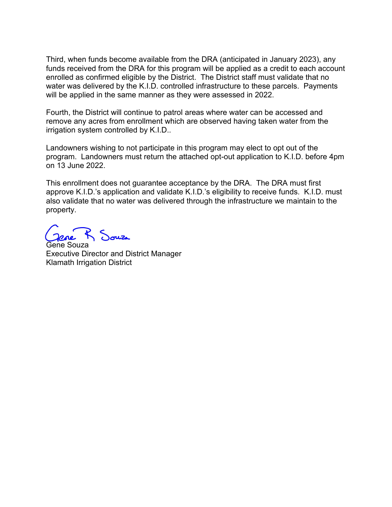Third, when funds become available from the DRA (anticipated in January 2023), any funds received from the DRA for this program will be applied as a credit to each account enrolled as confirmed eligible by the District. The District staff must validate that no water was delivered by the K.I.D. controlled infrastructure to these parcels. Payments will be applied in the same manner as they were assessed in 2022.

Fourth, the District will continue to patrol areas where water can be accessed and remove any acres from enrollment which are observed having taken water from the irrigation system controlled by K.I.D..

Landowners wishing to not participate in this program may elect to opt out of the program. Landowners must return the attached opt-out application to K.I.D. before 4pm on 13 June 2022.

This enrollment does not guarantee acceptance by the DRA. The DRA must first approve K.I.D.'s application and validate K.I.D.'s eligibility to receive funds. K.I.D. must also validate that no water was delivered through the infrastructure we maintain to the property.

 $\mathcal{L}$  duze

Gene Souza Executive Director and District Manager Klamath Irrigation District